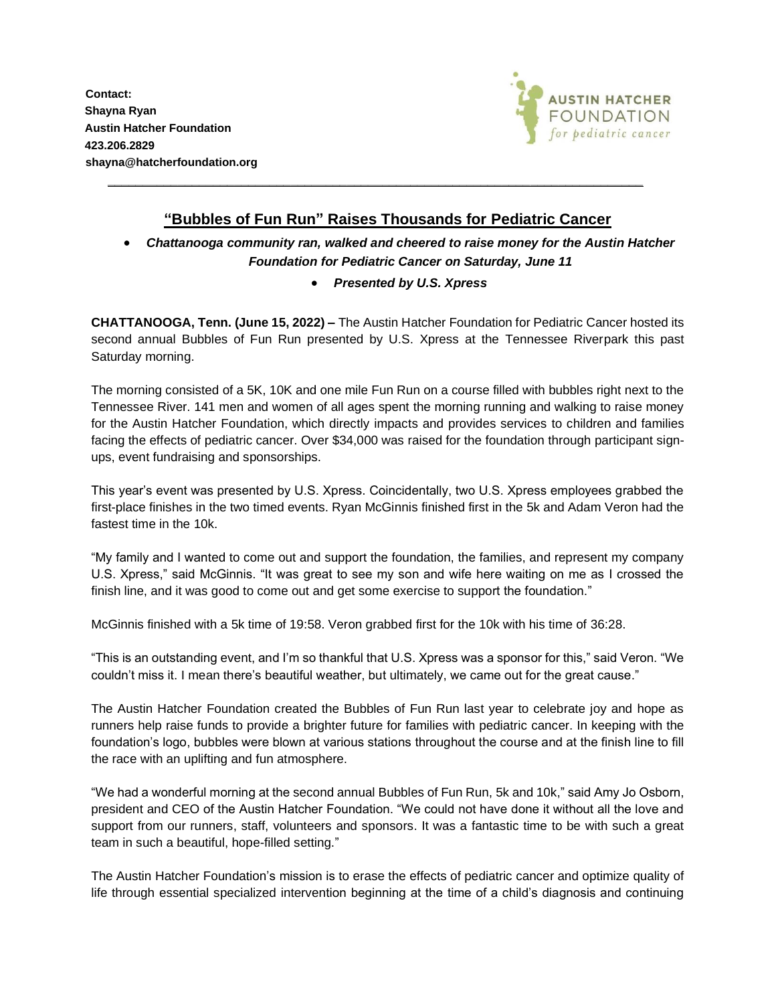**Contact: Shayna Ryan Austin Hatcher Foundation 423.206.2829 shayna@hatcherfoundation.org**



## **"Bubbles of Fun Run" Raises Thousands for Pediatric Cancer**

**\_\_\_\_\_\_\_\_\_\_\_\_\_\_\_\_\_\_\_\_\_\_\_\_\_\_\_\_\_\_\_\_\_\_\_\_\_\_\_\_\_\_\_\_\_\_\_\_\_\_\_\_\_\_\_\_\_\_\_\_\_\_\_\_\_\_\_\_\_\_\_\_\_\_\_\_**

## • *Chattanooga community ran, walked and cheered to raise money for the Austin Hatcher Foundation for Pediatric Cancer on Saturday, June 11*

## • *Presented by U.S. Xpress*

**CHATTANOOGA, Tenn. (June 15, 2022) –** The Austin Hatcher Foundation for Pediatric Cancer hosted its second annual Bubbles of Fun Run presented by U.S. Xpress at the Tennessee Riverpark this past Saturday morning.

The morning consisted of a 5K, 10K and one mile Fun Run on a course filled with bubbles right next to the Tennessee River. 141 men and women of all ages spent the morning running and walking to raise money for the Austin Hatcher Foundation, which directly impacts and provides services to children and families facing the effects of pediatric cancer. Over \$34,000 was raised for the foundation through participant signups, event fundraising and sponsorships.

This year's event was presented by U.S. Xpress. Coincidentally, two U.S. Xpress employees grabbed the first-place finishes in the two timed events. Ryan McGinnis finished first in the 5k and Adam Veron had the fastest time in the 10k.

"My family and I wanted to come out and support the foundation, the families, and represent my company U.S. Xpress," said McGinnis. "It was great to see my son and wife here waiting on me as I crossed the finish line, and it was good to come out and get some exercise to support the foundation."

McGinnis finished with a 5k time of 19:58. Veron grabbed first for the 10k with his time of 36:28.

"This is an outstanding event, and I'm so thankful that U.S. Xpress was a sponsor for this," said Veron. "We couldn't miss it. I mean there's beautiful weather, but ultimately, we came out for the great cause."

The Austin Hatcher Foundation created the Bubbles of Fun Run last year to celebrate joy and hope as runners help raise funds to provide a brighter future for families with pediatric cancer. In keeping with the foundation's logo, bubbles were blown at various stations throughout the course and at the finish line to fill the race with an uplifting and fun atmosphere.

"We had a wonderful morning at the second annual Bubbles of Fun Run, 5k and 10k," said Amy Jo Osborn, president and CEO of the Austin Hatcher Foundation. "We could not have done it without all the love and support from our runners, staff, volunteers and sponsors. It was a fantastic time to be with such a great team in such a beautiful, hope-filled setting."

The Austin Hatcher Foundation's mission is to erase the effects of pediatric cancer and optimize quality of life through essential specialized intervention beginning at the time of a child's diagnosis and continuing